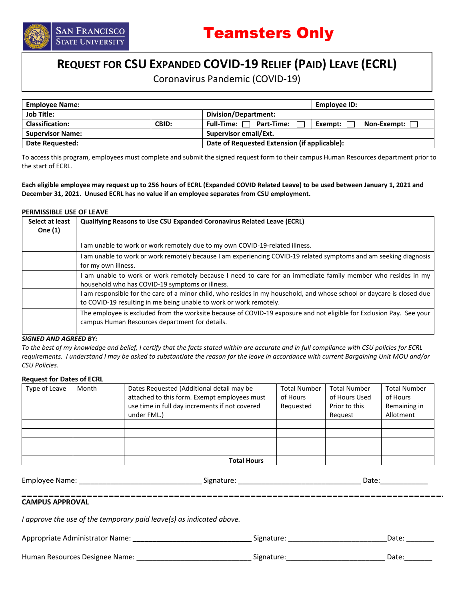

# **REQUEST FOR CSU EXPANDED COVID-19 RELIEF (PAID) LEAVE (ECRL)**

Coronavirus Pandemic (COVID-19)

| <b>Employee Name:</b>   |       | Employee ID:                                                         |  |  |  |  |  |
|-------------------------|-------|----------------------------------------------------------------------|--|--|--|--|--|
| <b>Job Title:</b>       |       | Division/Department:                                                 |  |  |  |  |  |
| <b>Classification:</b>  | CBID: | $Full$ -Time: $\Box$ Part-Time:<br>Exempt: $\Gamma$<br>Non-Exempt: [ |  |  |  |  |  |
| <b>Supervisor Name:</b> |       | Supervisor email/Ext.                                                |  |  |  |  |  |
| Date Requested:         |       | Date of Requested Extension (if applicable):                         |  |  |  |  |  |

To access this program, employees must complete and submit the signed request form to their campus Human Resources department prior to the start of ECRL.

**Each eligible employee may request up to 256 hours of ECRL (Expanded COVID Related Leave) to be used between January 1, 2021 and December 31, 2021. Unused ECRL has no value if an employee separates from CSU employment.** 

#### **PERMISSIBLE USE OF LEAVE**

| Select at least<br>One (1) | <b>Qualifying Reasons to Use CSU Expanded Coronavirus Related Leave (ECRL)</b>                                                                                                               |
|----------------------------|----------------------------------------------------------------------------------------------------------------------------------------------------------------------------------------------|
|                            | I am unable to work or work remotely due to my own COVID-19-related illness.                                                                                                                 |
|                            | I am unable to work or work remotely because I am experiencing COVID-19 related symptoms and am seeking diagnosis                                                                            |
|                            | for my own illness.                                                                                                                                                                          |
|                            | I am unable to work or work remotely because I need to care for an immediate family member who resides in my<br>household who has COVID-19 symptoms or illness.                              |
|                            | I am responsible for the care of a minor child, who resides in my household, and whose school or daycare is closed due<br>to COVID-19 resulting in me being unable to work or work remotely. |
|                            | The employee is excluded from the worksite because of COVID-19 exposure and not eligible for Exclusion Pay. See your<br>campus Human Resources department for details.                       |

#### *SIGNED AND AGREED BY:*

*To the best of my knowledge and belief, I certify that the facts stated within are accurate and in full compliance with CSU policies for ECRL requirements. I understand I may be asked to substantiate the reason for the leave in accordance with current Bargaining Unit MOU and/or CSU Policies.* 

### **Request for Dates of ECRL**

| Type of Leave | Month | Dates Requested (Additional detail may be      | <b>Total Number</b> | <b>Total Number</b> | <b>Total Number</b> |
|---------------|-------|------------------------------------------------|---------------------|---------------------|---------------------|
|               |       | attached to this form. Exempt employees must   | of Hours            | of Hours Used       | of Hours            |
|               |       | use time in full day increments if not covered | Requested           | Prior to this       | Remaining in        |
|               |       | under FML.)                                    |                     | Reguest             | Allotment           |
|               |       |                                                |                     |                     |                     |
|               |       |                                                |                     |                     |                     |
|               |       |                                                |                     |                     |                     |
|               |       |                                                |                     |                     |                     |
|               |       | <b>Total Hours</b>                             |                     |                     |                     |

Employee Name: \_\_\_\_\_\_\_\_\_\_\_\_\_\_\_\_\_\_\_\_\_\_\_\_\_\_\_\_\_\_\_ Signature: \_\_\_\_\_\_\_\_\_\_\_\_\_\_\_\_\_\_\_\_\_\_\_\_\_\_\_\_\_\_\_ Date:\_\_\_\_\_\_\_\_\_\_\_\_ **CAMPUS APPROVAL** *I approve the use of the temporary paid leave(s) as indicated above.*  Appropriate Administrator Name: **\_\_\_\_\_\_\_\_\_\_\_\_\_\_\_\_\_\_\_\_\_\_\_\_\_\_\_\_\_\_** Signature: \_\_\_\_\_\_\_\_\_\_\_\_\_\_\_\_\_\_\_\_\_\_\_\_\_Date: \_\_\_\_\_\_\_

Human Resources Designee Name: \_\_\_\_\_\_\_\_\_\_\_\_\_\_\_\_\_\_\_\_\_\_\_\_\_\_\_\_\_ Signature:\_\_\_\_\_\_\_\_\_\_\_\_\_\_\_\_\_\_\_\_\_\_\_\_\_ Date:\_\_\_\_\_\_\_